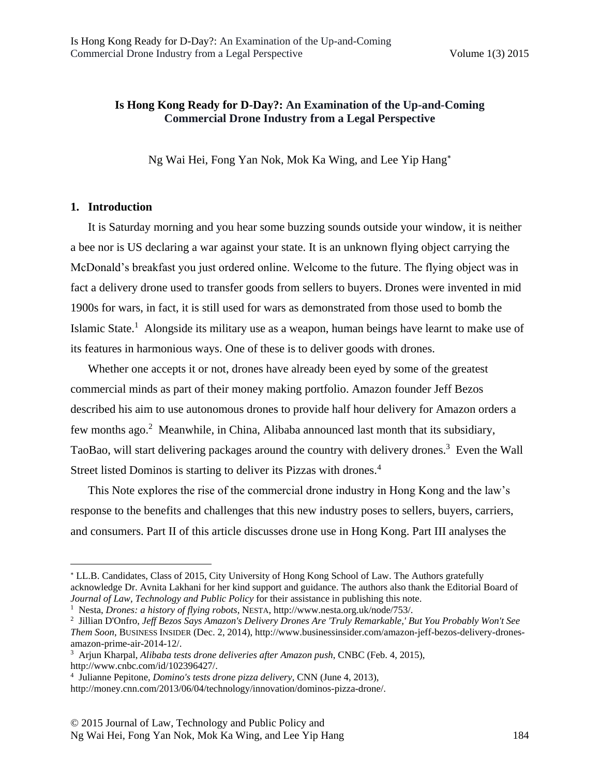# **Is Hong Kong Ready for D-Day?: An Examination of the Up-and-Coming Commercial Drone Industry from a Legal Perspective**

Ng Wai Hei, Fong Yan Nok, Mok Ka Wing, and Lee Yip Hang

#### **1. Introduction**

 $\overline{\phantom{a}}$ 

It is Saturday morning and you hear some buzzing sounds outside your window, it is neither a bee nor is US declaring a war against your state. It is an unknown flying object carrying the McDonald's breakfast you just ordered online. Welcome to the future. The flying object was in fact a delivery drone used to transfer goods from sellers to buyers. Drones were invented in mid 1900s for wars, in fact, it is still used for wars as demonstrated from those used to bomb the Islamic State.<sup>1</sup> Alongside its military use as a weapon, human beings have learnt to make use of its features in harmonious ways. One of these is to deliver goods with drones.

Whether one accepts it or not, drones have already been eyed by some of the greatest commercial minds as part of their money making portfolio. Amazon founder Jeff Bezos described his aim to use autonomous drones to provide half hour delivery for Amazon orders a few months ago.<sup>2</sup> Meanwhile, in China, Alibaba announced last month that its subsidiary, TaoBao, will start delivering packages around the country with delivery drones.<sup>3</sup> Even the Wall Street listed Dominos is starting to deliver its Pizzas with drones.<sup>4</sup>

This Note explores the rise of the commercial drone industry in Hong Kong and the law's response to the benefits and challenges that this new industry poses to sellers, buyers, carriers, and consumers. Part II of this article discusses drone use in Hong Kong. Part III analyses the

LL.B. Candidates, Class of 2015, City University of Hong Kong School of Law. The Authors gratefully acknowledge Dr. Avnita Lakhani for her kind support and guidance. The authors also thank the Editorial Board of *Journal of Law, Technology and Public Policy* for their assistance in publishing this note.

<sup>1</sup> Nesta, *Drones: a history of flying robots*, NESTA, http://www.nesta.org.uk/node/753/.

<sup>2</sup> Jillian D'Onfro, *Jeff Bezos Says Amazon's Delivery Drones Are 'Truly Remarkable,' But You Probably Won't See Them Soon*, BUSINESS INSIDER (Dec. 2, 2014), http://www.businessinsider.com/amazon-jeff-bezos-delivery-dronesamazon-prime-air-2014-12/.

<sup>3</sup> Arjun Kharpal, *Alibaba tests drone deliveries after Amazon push*, CNBC (Feb. 4, 2015), http://www.cnbc.com/id/102396427/.

<sup>4</sup> Julianne Pepitone, *Domino's tests drone pizza delivery*, CNN (June 4, 2013),

http://money.cnn.com/2013/06/04/technology/innovation/dominos-pizza-drone/.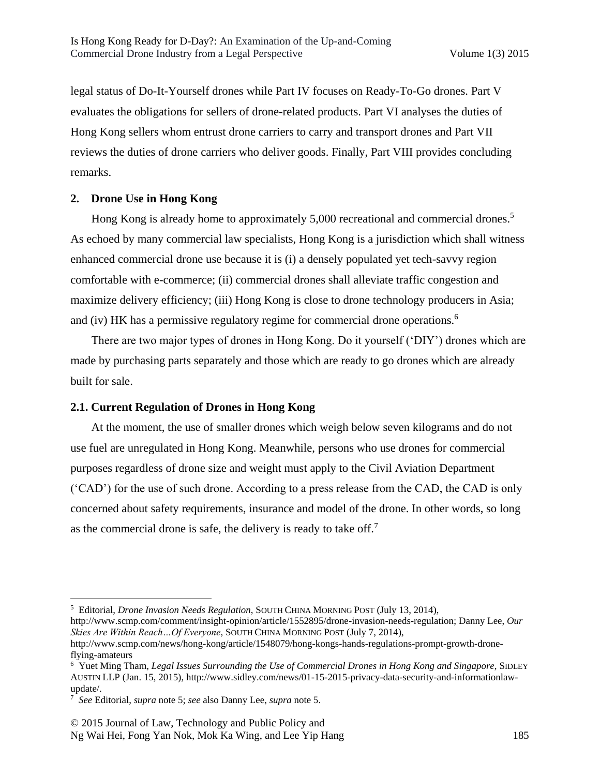legal status of Do-It-Yourself drones while Part IV focuses on Ready-To-Go drones. Part V evaluates the obligations for sellers of drone-related products. Part VI analyses the duties of Hong Kong sellers whom entrust drone carriers to carry and transport drones and Part VII reviews the duties of drone carriers who deliver goods. Finally, Part VIII provides concluding remarks.

# **2. Drone Use in Hong Kong**

Hong Kong is already home to approximately 5,000 recreational and commercial drones.<sup>5</sup> As echoed by many commercial law specialists, Hong Kong is a jurisdiction which shall witness enhanced commercial drone use because it is (i) a densely populated yet tech-savvy region comfortable with e-commerce; (ii) commercial drones shall alleviate traffic congestion and maximize delivery efficiency; (iii) Hong Kong is close to drone technology producers in Asia; and (iv) HK has a permissive regulatory regime for commercial drone operations.<sup>6</sup>

There are two major types of drones in Hong Kong. Do it yourself ('DIY') drones which are made by purchasing parts separately and those which are ready to go drones which are already built for sale.

# **2.1. Current Regulation of Drones in Hong Kong**

At the moment, the use of smaller drones which weigh below seven kilograms and do not use fuel are unregulated in Hong Kong. Meanwhile, persons who use drones for commercial purposes regardless of drone size and weight must apply to the Civil Aviation Department ('CAD') for the use of such drone. According to a press release from the CAD, the CAD is only concerned about safety requirements, insurance and model of the drone. In other words, so long as the commercial drone is safe, the delivery is ready to take off.<sup>7</sup>

<sup>5</sup> Editorial, *Drone Invasion Needs Regulation*, SOUTH CHINA MORNING POST (July 13, 2014),

http://www.scmp.com/comment/insight-opinion/article/1552895/drone-invasion-needs-regulation; Danny Lee, *Our Skies Are Within Reach…Of Everyone*, SOUTH CHINA MORNING POST (July 7, 2014),

http://www.scmp.com/news/hong-kong/article/1548079/hong-kongs-hands-regulations-prompt-growth-droneflying-amateurs

<sup>6</sup> Yuet Ming Tham, *Legal Issues Surrounding the Use of Commercial Drones in Hong Kong and Singapore*, SIDLEY AUSTIN LLP (Jan. 15, 2015), http://www.sidley.com/news/01-15-2015-privacy-data-security-and-informationlawupdate/.

<sup>7</sup> *See* Editorial, *supra* note 5; *see* also Danny Lee, *supra* note 5.

<sup>© 2015</sup> Journal of Law, Technology and Public Policy and Ng Wai Hei, Fong Yan Nok, Mok Ka Wing, and Lee Yip Hang 185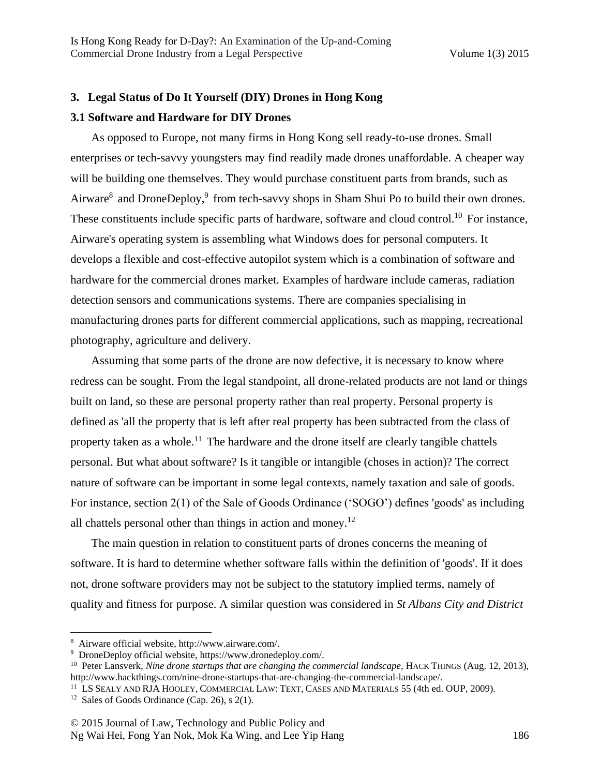# **3. Legal Status of Do It Yourself (DIY) Drones in Hong Kong**

### **3.1 Software and Hardware for DIY Drones**

As opposed to Europe, not many firms in Hong Kong sell ready-to-use drones. Small enterprises or tech-savvy youngsters may find readily made drones unaffordable. A cheaper way will be building one themselves. They would purchase constituent parts from brands, such as Airware<sup>8</sup> and DroneDeploy,<sup>9</sup> from tech-savvy shops in Sham Shui Po to build their own drones. These constituents include specific parts of hardware, software and cloud control.<sup>10</sup> For instance, Airware's operating system is assembling what Windows does for personal computers. It develops a flexible and cost-effective autopilot system which is a combination of software and hardware for the commercial drones market. Examples of hardware include cameras, radiation detection sensors and communications systems. There are companies specialising in manufacturing drones parts for different commercial applications, such as mapping, recreational photography, agriculture and delivery.

Assuming that some parts of the drone are now defective, it is necessary to know where redress can be sought. From the legal standpoint, all drone-related products are not land or things built on land, so these are personal property rather than real property. Personal property is defined as 'all the property that is left after real property has been subtracted from the class of property taken as a whole.<sup>11</sup> The hardware and the drone itself are clearly tangible chattels personal. But what about software? Is it tangible or intangible (choses in action)? The correct nature of software can be important in some legal contexts, namely taxation and sale of goods. For instance, section 2(1) of the Sale of Goods Ordinance ('SOGO') defines 'goods' as including all chattels personal other than things in action and money.<sup>12</sup>

The main question in relation to constituent parts of drones concerns the meaning of software. It is hard to determine whether software falls within the definition of 'goods'. If it does not, drone software providers may not be subject to the statutory implied terms, namely of quality and fitness for purpose. A similar question was considered in *St Albans City and District* 

<sup>8</sup> Airware official website, http://www.airware.com/.

<sup>9</sup> DroneDeploy official website, https://www.dronedeploy.com/.

<sup>10</sup> Peter Lansverk, *Nine drone startups that are changing the commercial landscape*, HACK THINGS (Aug. 12, 2013), http://www.hackthings.com/nine-drone-startups-that-are-changing-the-commercial-landscape/.

<sup>11</sup> LS SEALY AND RJA HOOLEY, COMMERCIAL LAW: TEXT, CASES AND MATERIALS 55 (4th ed. OUP, 2009).

<sup>&</sup>lt;sup>12</sup> Sales of Goods Ordinance (Cap. 26), s  $2(1)$ .

<sup>© 2015</sup> Journal of Law, Technology and Public Policy and Ng Wai Hei, Fong Yan Nok, Mok Ka Wing, and Lee Yip Hang 186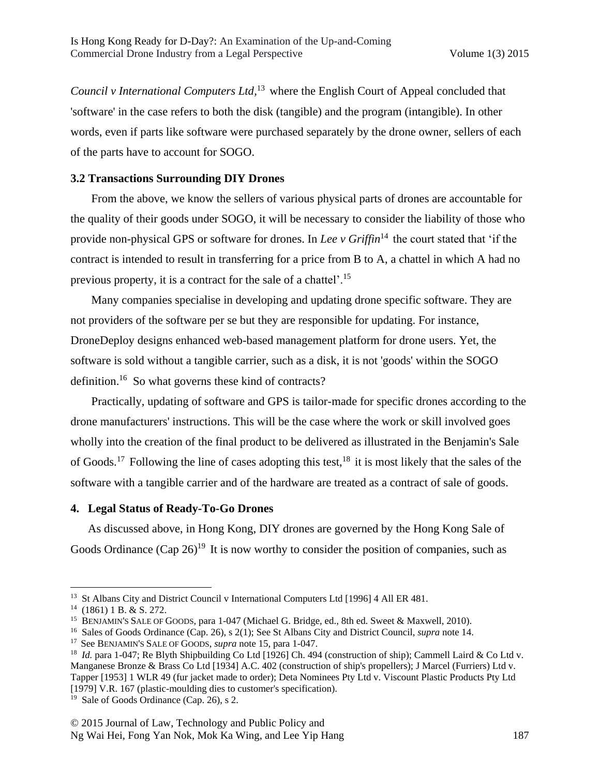*Council v International Computers Ltd,* <sup>13</sup> where the English Court of Appeal concluded that 'software' in the case refers to both the disk (tangible) and the program (intangible). In other words, even if parts like software were purchased separately by the drone owner, sellers of each of the parts have to account for SOGO.

# **3.2 Transactions Surrounding DIY Drones**

From the above, we know the sellers of various physical parts of drones are accountable for the quality of their goods under SOGO, it will be necessary to consider the liability of those who provide non-physical GPS or software for drones. In *Lee v Griffin*<sup>14</sup> the court stated that 'if the contract is intended to result in transferring for a price from B to A, a chattel in which A had no previous property, it is a contract for the sale of a chattel'.<sup>15</sup>

Many companies specialise in developing and updating drone specific software. They are not providers of the software per se but they are responsible for updating. For instance, DroneDeploy designs enhanced web-based management platform for drone users. Yet, the software is sold without a tangible carrier, such as a disk, it is not 'goods' within the SOGO definition.<sup>16</sup> So what governs these kind of contracts?

Practically, updating of software and GPS is tailor-made for specific drones according to the drone manufacturers' instructions. This will be the case where the work or skill involved goes wholly into the creation of the final product to be delivered as illustrated in the Benjamin's Sale of Goods.<sup>17</sup> Following the line of cases adopting this test,  $18$  it is most likely that the sales of the software with a tangible carrier and of the hardware are treated as a contract of sale of goods.

### **4. Legal Status of Ready-To-Go Drones**

As discussed above, in Hong Kong, DIY drones are governed by the Hong Kong Sale of Goods Ordinance  $(Cap 26)^{19}$  It is now worthy to consider the position of companies, such as

<sup>&</sup>lt;sup>13</sup> St Albans City and District Council v International Computers Ltd [1996] 4 All ER 481.

 $14$  (1861) 1 B. & S. 272.

<sup>15</sup> BENJAMIN'S SALE OF GOODS*,* para 1-047 (Michael G. Bridge, ed., 8th ed. Sweet & Maxwell, 2010).

<sup>16</sup> Sales of Goods Ordinance (Cap. 26), s 2(1); See St Albans City and District Council, *supra* note 14.

<sup>17</sup> See BENJAMIN'S SALE OF GOODS, *supra* note 15, para 1-047.

<sup>&</sup>lt;sup>18</sup> *Id.* para 1-047; Re Blyth Shipbuilding Co Ltd [1926] Ch. 494 (construction of ship); Cammell Laird & Co Ltd v. Manganese Bronze & Brass Co Ltd [1934] A.C. 402 (construction of ship's propellers); J Marcel (Furriers) Ltd v. Tapper [1953] 1 WLR 49 (fur jacket made to order); Deta Nominees Pty Ltd v. Viscount Plastic Products Pty Ltd [1979] V.R. 167 (plastic-moulding dies to customer's specification).

<sup>&</sup>lt;sup>19</sup> Sale of Goods Ordinance (Cap. 26), s 2.

<sup>© 2015</sup> Journal of Law, Technology and Public Policy and Ng Wai Hei, Fong Yan Nok, Mok Ka Wing, and Lee Yip Hang 187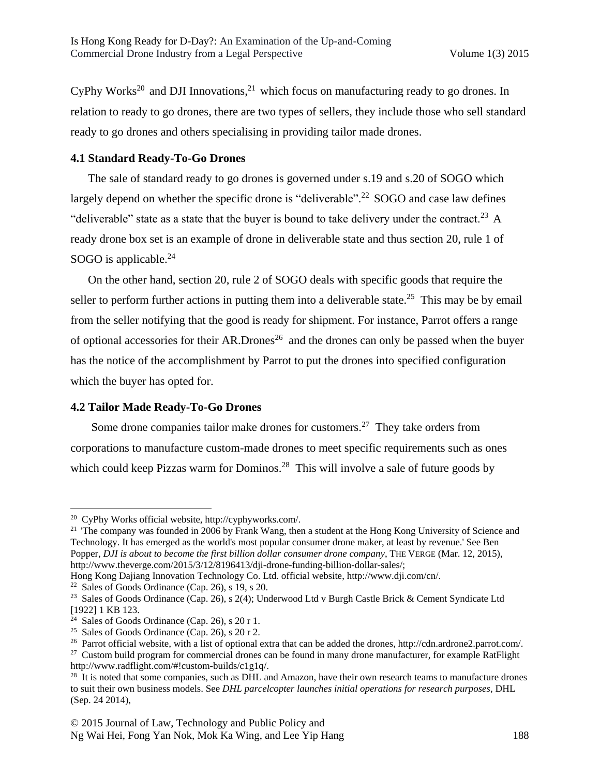$CyPhy Works<sup>20</sup>$  and DJI Innovations,<sup>21</sup> which focus on manufacturing ready to go drones. In relation to ready to go drones, there are two types of sellers, they include those who sell standard ready to go drones and others specialising in providing tailor made drones.

# **4.1 Standard Ready-To-Go Drones**

The sale of standard ready to go drones is governed under s.19 and s.20 of SOGO which largely depend on whether the specific drone is "deliverable".<sup>22</sup> SOGO and case law defines "deliverable" state as a state that the buyer is bound to take delivery under the contract.<sup>23</sup> A ready drone box set is an example of drone in deliverable state and thus section 20, rule 1 of SOGO is applicable. $24$ 

On the other hand, section 20, rule 2 of SOGO deals with specific goods that require the seller to perform further actions in putting them into a deliverable state.<sup>25</sup> This may be by email from the seller notifying that the good is ready for shipment. For instance, Parrot offers a range of optional accessories for their AR.Drones<sup>26</sup> and the drones can only be passed when the buyer has the notice of the accomplishment by Parrot to put the drones into specified configuration which the buyer has opted for.

# **4.2 Tailor Made Ready-To-Go Drones**

Some drone companies tailor make drones for customers.<sup>27</sup> They take orders from corporations to manufacture custom-made drones to meet specific requirements such as ones which could keep Pizzas warm for Dominos.<sup>28</sup> This will involve a sale of future goods by

<sup>20</sup> CyPhy Works official website, http://cyphyworks.com/.

<sup>&</sup>lt;sup>21</sup> 'The company was founded in 2006 by Frank Wang, then a student at the Hong Kong University of Science and Technology. It has emerged as the world's most popular consumer drone maker, at least by revenue.' See Ben Popper, *DJI is about to become the first billion dollar consumer drone company*, THE VERGE (Mar. 12, 2015), http://www.theverge.com/2015/3/12/8196413/dji-drone-funding-billion-dollar-sales/;

Hong Kong Dajiang Innovation Technology Co. Ltd. official website, http://www.dji.com/cn/.

<sup>&</sup>lt;sup>22</sup> Sales of Goods Ordinance (Cap. 26), s  $19$ , s  $20$ .

<sup>&</sup>lt;sup>23</sup> Sales of Goods Ordinance (Cap. 26), s 2(4); Underwood Ltd v Burgh Castle Brick & Cement Syndicate Ltd [1922] 1 KB 123.

<sup>&</sup>lt;sup>24</sup> Sales of Goods Ordinance (Cap. 26), s  $20r1$ .

<sup>&</sup>lt;sup>25</sup> Sales of Goods Ordinance (Cap. 26), s 20 r 2.

<sup>&</sup>lt;sup>26</sup> Parrot official website, with a list of optional extra that can be added the drones, http://cdn.ardrone2.parrot.com/.

<sup>&</sup>lt;sup>27</sup> Custom build program for commercial drones can be found in many drone manufacturer, for example RatFlight http://www.radflight.com/#!custom-builds/c1g1q/.

<sup>&</sup>lt;sup>28</sup> It is noted that some companies, such as DHL and Amazon, have their own research teams to manufacture drones to suit their own business models. See *DHL parcelcopter launches initial operations for research purposes,* DHL (Sep. 24 2014),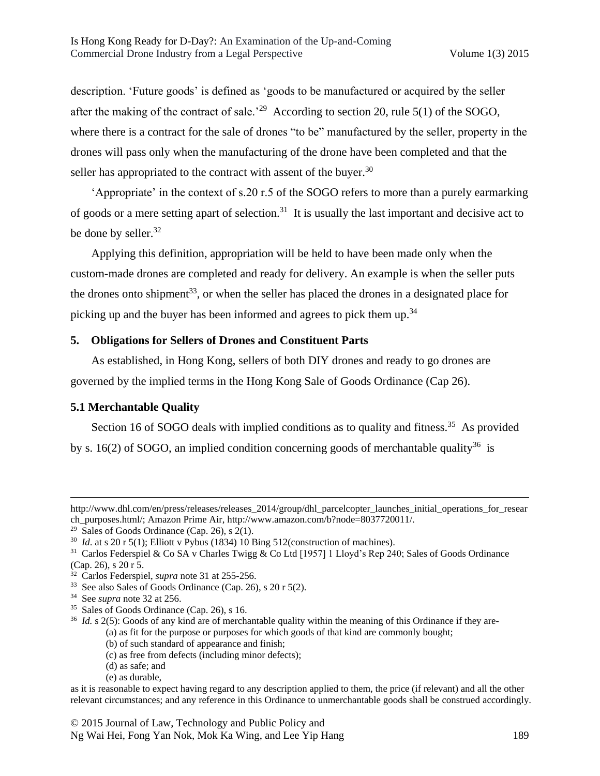description. 'Future goods' is defined as 'goods to be manufactured or acquired by the seller after the making of the contract of sale.<sup>29</sup> According to section 20, rule 5(1) of the SOGO, where there is a contract for the sale of drones "to be" manufactured by the seller, property in the drones will pass only when the manufacturing of the drone have been completed and that the seller has appropriated to the contract with assent of the buyer. $30$ 

'Appropriate' in the context of s.20 r.5 of the SOGO refers to more than a purely earmarking of goods or a mere setting apart of selection.<sup>31</sup> It is usually the last important and decisive act to be done by seller.<sup>32</sup>

Applying this definition, appropriation will be held to have been made only when the custom-made drones are completed and ready for delivery. An example is when the seller puts the drones onto shipment<sup>33</sup>, or when the seller has placed the drones in a designated place for picking up and the buyer has been informed and agrees to pick them up.<sup>34</sup>

### **5. Obligations for Sellers of Drones and Constituent Parts**

As established, in Hong Kong, sellers of both DIY drones and ready to go drones are governed by the implied terms in the Hong Kong Sale of Goods Ordinance (Cap 26).

# **5.1 Merchantable Quality**

Section 16 of SOGO deals with implied conditions as to quality and fitness.<sup>35</sup> As provided by s. 16(2) of SOGO, an implied condition concerning goods of merchantable quality<sup>36</sup> is

- (a) as fit for the purpose or purposes for which goods of that kind are commonly bought;
	- (b) of such standard of appearance and finish;
	- (c) as free from defects (including minor defects);
	- (d) as safe; and
	- (e) as durable,

http://www.dhl.com/en/press/releases/releases\_2014/group/dhl\_parcelcopter\_launches\_initial\_operations\_for\_resear ch\_purposes.html/; Amazon Prime Air, http://www.amazon.com/b?node=8037720011/.

<sup>&</sup>lt;sup>29</sup> Sales of Goods Ordinance (Cap. 26), s  $2(1)$ .

<sup>&</sup>lt;sup>30</sup> *Id.* at s 20 r 5(1); Elliott v Pybus (1834) 10 Bing 512(construction of machines).

<sup>&</sup>lt;sup>31</sup> Carlos Federspiel & Co SA v Charles Twigg & Co Ltd [1957] 1 Lloyd's Rep 240; Sales of Goods Ordinance (Cap. 26), s 20 r 5.

<sup>32</sup> Carlos Federspiel, *supra* note 31 at 255-256.

<sup>33</sup> See also Sales of Goods Ordinance (Cap. 26), s 20 r 5(2).

<sup>34</sup> See *supra* note 32 at 256.

<sup>&</sup>lt;sup>35</sup> Sales of Goods Ordinance (Cap. 26), s 16.

<sup>&</sup>lt;sup>36</sup> *Id.* s 2(5): Goods of any kind are of merchantable quality within the meaning of this Ordinance if they are-

as it is reasonable to expect having regard to any description applied to them, the price (if relevant) and all the other relevant circumstances; and any reference in this Ordinance to unmerchantable goods shall be construed accordingly.

<sup>© 2015</sup> Journal of Law, Technology and Public Policy and Ng Wai Hei, Fong Yan Nok, Mok Ka Wing, and Lee Yip Hang 189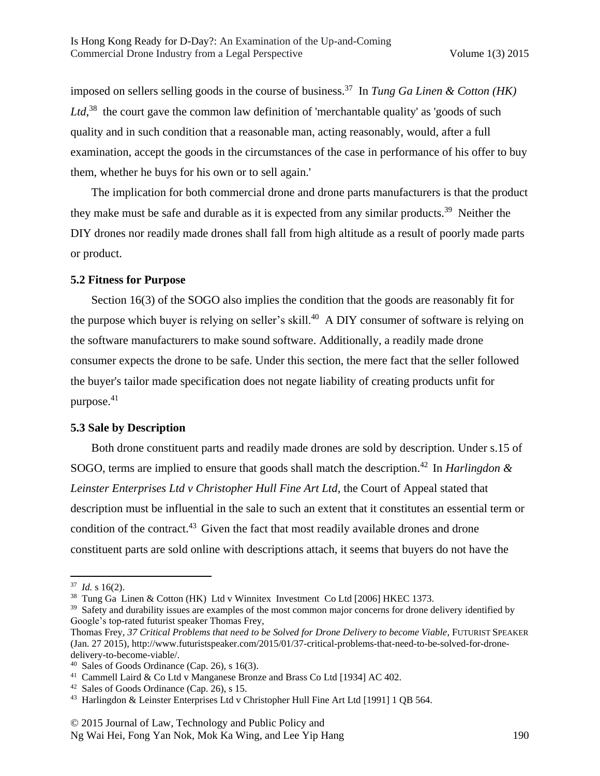imposed on sellers selling goods in the course of business.<sup>37</sup> In *Tung Ga Linen & Cotton (HK)*  Ltd,<sup>38</sup> the court gave the common law definition of 'merchantable quality' as 'goods of such quality and in such condition that a reasonable man, acting reasonably, would, after a full examination, accept the goods in the circumstances of the case in performance of his offer to buy them, whether he buys for his own or to sell again.'

The implication for both commercial drone and drone parts manufacturers is that the product they make must be safe and durable as it is expected from any similar products.<sup>39</sup> Neither the DIY drones nor readily made drones shall fall from high altitude as a result of poorly made parts or product.

#### **5.2 Fitness for Purpose**

Section 16(3) of the SOGO also implies the condition that the goods are reasonably fit for the purpose which buyer is relying on seller's skill.<sup>40</sup> A DIY consumer of software is relying on the software manufacturers to make sound software. Additionally, a readily made drone consumer expects the drone to be safe. Under this section, the mere fact that the seller followed the buyer's tailor made specification does not negate liability of creating products unfit for purpose. $41$ 

#### **5.3 Sale by Description**

Both drone constituent parts and readily made drones are sold by description. Under s.15 of SOGO, terms are implied to ensure that goods shall match the description.<sup>42</sup> In *Harlingdon & Leinster Enterprises Ltd v Christopher Hull Fine Art Ltd*, the Court of Appeal stated that description must be influential in the sale to such an extent that it constitutes an essential term or condition of the contract.<sup>43</sup> Given the fact that most readily available drones and drone constituent parts are sold online with descriptions attach, it seems that buyers do not have the

 $37$  *Id.* s 16(2).

<sup>38</sup> Tung Ga Linen & Cotton (HK) Ltd v Winnitex Investment Co Ltd [2006] HKEC 1373.

<sup>&</sup>lt;sup>39</sup> Safety and durability issues are examples of the most common major concerns for drone delivery identified by Google's top-rated futurist speaker Thomas Frey,

Thomas Frey, *37 Critical Problems that need to be Solved for Drone Delivery to become Viable*, FUTURIST SPEAKER (Jan. 27 2015), http://www.futuristspeaker.com/2015/01/37-critical-problems-that-need-to-be-solved-for-dronedelivery-to-become-viable/.

 $40$  Sales of Goods Ordinance (Cap. 26), s 16(3).

<sup>41</sup> Cammell Laird & Co Ltd v Manganese Bronze and Brass Co Ltd [1934] AC 402.

<sup>42</sup> Sales of Goods Ordinance (Cap. 26), s 15.

<sup>&</sup>lt;sup>43</sup> Harlingdon & Leinster Enterprises Ltd v Christopher Hull Fine Art Ltd [1991] 1 QB 564.

<sup>© 2015</sup> Journal of Law, Technology and Public Policy and Ng Wai Hei, Fong Yan Nok, Mok Ka Wing, and Lee Yip Hang 190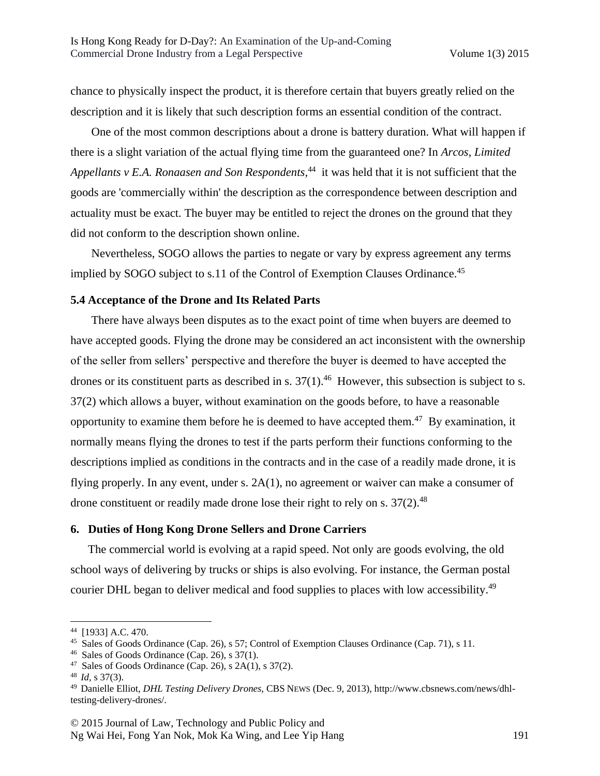chance to physically inspect the product, it is therefore certain that buyers greatly relied on the description and it is likely that such description forms an essential condition of the contract.

One of the most common descriptions about a drone is battery duration. What will happen if there is a slight variation of the actual flying time from the guaranteed one? In *Arcos, Limited Appellants v E.A. Ronaasen and Son Respondents,* <sup>44</sup> it was held that it is not sufficient that the goods are 'commercially within' the description as the correspondence between description and actuality must be exact. The buyer may be entitled to reject the drones on the ground that they did not conform to the description shown online.

Nevertheless, SOGO allows the parties to negate or vary by express agreement any terms implied by SOGO subject to s.11 of the Control of Exemption Clauses Ordinance.<sup>45</sup>

#### **5.4 Acceptance of the Drone and Its Related Parts**

There have always been disputes as to the exact point of time when buyers are deemed to have accepted goods. Flying the drone may be considered an act inconsistent with the ownership of the seller from sellers' perspective and therefore the buyer is deemed to have accepted the drones or its constituent parts as described in s.  $37(1)$ .<sup>46</sup> However, this subsection is subject to s. 37(2) which allows a buyer, without examination on the goods before, to have a reasonable opportunity to examine them before he is deemed to have accepted them.<sup>47</sup> By examination, it normally means flying the drones to test if the parts perform their functions conforming to the descriptions implied as conditions in the contracts and in the case of a readily made drone, it is flying properly. In any event, under s. 2A(1), no agreement or waiver can make a consumer of drone constituent or readily made drone lose their right to rely on s.  $37(2)$ .<sup>48</sup>

#### **6. Duties of Hong Kong Drone Sellers and Drone Carriers**

The commercial world is evolving at a rapid speed. Not only are goods evolving, the old school ways of delivering by trucks or ships is also evolving. For instance, the German postal courier DHL began to deliver medical and food supplies to places with low accessibility.<sup>49</sup>

<sup>44</sup> [1933] A.C. 470.

<sup>45</sup> Sales of Goods Ordinance (Cap. 26), s 57; Control of Exemption Clauses Ordinance (Cap. 71), s 11.

 $46$  Sales of Goods Ordinance (Cap. 26), s 37(1).

 $47$  Sales of Goods Ordinance (Cap. 26), s 2A(1), s 37(2).

<sup>48</sup> *Id,* s 37(3).

<sup>49</sup> Danielle Elliot, *DHL Testing Delivery Drones*, CBS NEWS (Dec. 9, 2013), http://www.cbsnews.com/news/dhltesting-delivery-drones/.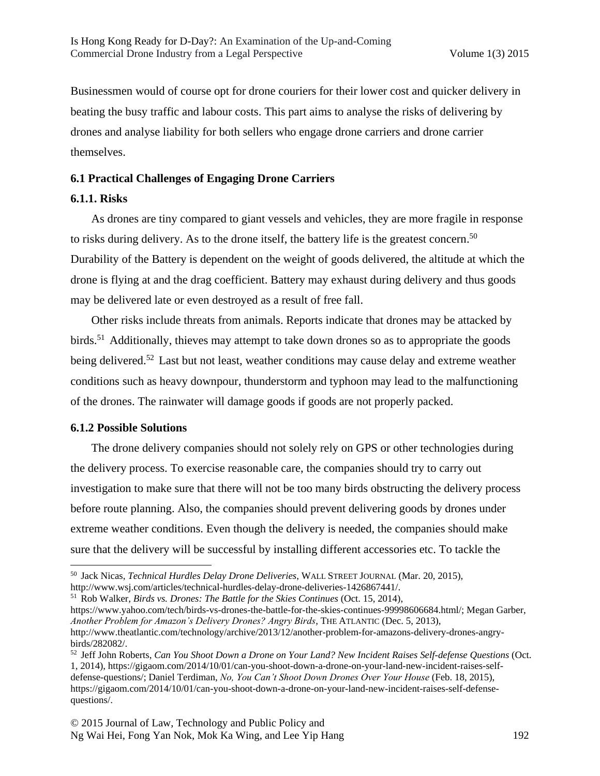Businessmen would of course opt for drone couriers for their lower cost and quicker delivery in beating the busy traffic and labour costs. This part aims to analyse the risks of delivering by drones and analyse liability for both sellers who engage drone carriers and drone carrier themselves.

# **6.1 Practical Challenges of Engaging Drone Carriers**

# **6.1.1. Risks**

As drones are tiny compared to giant vessels and vehicles, they are more fragile in response to risks during delivery. As to the drone itself, the battery life is the greatest concern.<sup>50</sup> Durability of the Battery is dependent on the weight of goods delivered, the altitude at which the drone is flying at and the drag coefficient. Battery may exhaust during delivery and thus goods may be delivered late or even destroyed as a result of free fall.

Other risks include threats from animals. Reports indicate that drones may be attacked by birds.<sup>51</sup> Additionally, thieves may attempt to take down drones so as to appropriate the goods being delivered.<sup>52</sup> Last but not least, weather conditions may cause delay and extreme weather conditions such as heavy downpour, thunderstorm and typhoon may lead to the malfunctioning of the drones. The rainwater will damage goods if goods are not properly packed.

### **6.1.2 Possible Solutions**

The drone delivery companies should not solely rely on GPS or other technologies during the delivery process. To exercise reasonable care, the companies should try to carry out investigation to make sure that there will not be too many birds obstructing the delivery process before route planning. Also, the companies should prevent delivering goods by drones under extreme weather conditions. Even though the delivery is needed, the companies should make sure that the delivery will be successful by installing different accessories etc. To tackle the

http://www.wsj.com/articles/technical-hurdles-delay-drone-deliveries-1426867441/.

<sup>51</sup> Rob Walker, *Birds vs. Drones: The Battle for the Skies Continues* (Oct. 15, 2014), https://www.yahoo.com/tech/birds-vs-drones-the-battle-for-the-skies-continues-99998606684.html/; Megan Garber, *Another Problem for Amazon's Delivery Drones? Angry Birds,* THE ATLANTIC (Dec. 5, 2013), http://www.theatlantic.com/technology/archive/2013/12/another-problem-for-amazons-delivery-drones-angrybirds/282082/.

 $\overline{\phantom{a}}$ <sup>50</sup> Jack Nicas, *Technical Hurdles Delay Drone Deliveries*, WALL STREET JOURNAL (Mar. 20, 2015),

<sup>52</sup> Jeff John Roberts, *Can You Shoot Down a Drone on Your Land? New Incident Raises Self-defense Questions* (Oct. 1, 2014), https://gigaom.com/2014/10/01/can-you-shoot-down-a-drone-on-your-land-new-incident-raises-selfdefense-questions/; Daniel Terdiman, *No, You Can't Shoot Down Drones Over Your House* (Feb. 18, 2015), https://gigaom.com/2014/10/01/can-you-shoot-down-a-drone-on-your-land-new-incident-raises-self-defensequestions/.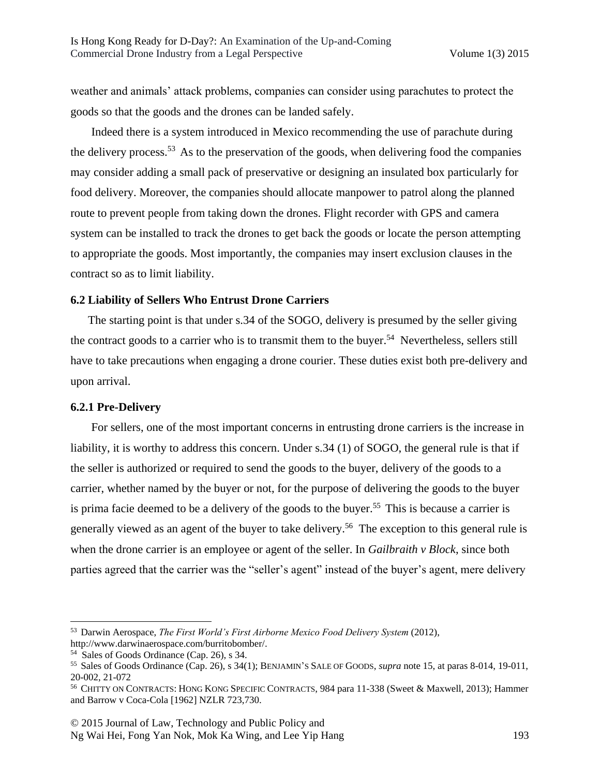weather and animals' attack problems, companies can consider using parachutes to protect the goods so that the goods and the drones can be landed safely.

Indeed there is a system introduced in Mexico recommending the use of parachute during the delivery process.<sup>53</sup> As to the preservation of the goods, when delivering food the companies may consider adding a small pack of preservative or designing an insulated box particularly for food delivery. Moreover, the companies should allocate manpower to patrol along the planned route to prevent people from taking down the drones. Flight recorder with GPS and camera system can be installed to track the drones to get back the goods or locate the person attempting to appropriate the goods. Most importantly, the companies may insert exclusion clauses in the contract so as to limit liability.

#### **6.2 Liability of Sellers Who Entrust Drone Carriers**

The starting point is that under s.34 of the SOGO, delivery is presumed by the seller giving the contract goods to a carrier who is to transmit them to the buyer.<sup>54</sup> Nevertheless, sellers still have to take precautions when engaging a drone courier. These duties exist both pre-delivery and upon arrival.

### **6.2.1 Pre-Delivery**

 $\overline{\phantom{a}}$ 

For sellers, one of the most important concerns in entrusting drone carriers is the increase in liability, it is worthy to address this concern. Under s.34 (1) of SOGO, the general rule is that if the seller is authorized or required to send the goods to the buyer, delivery of the goods to a carrier, whether named by the buyer or not, for the purpose of delivering the goods to the buyer is prima facie deemed to be a delivery of the goods to the buyer.<sup>55</sup> This is because a carrier is generally viewed as an agent of the buyer to take delivery.<sup>56</sup> The exception to this general rule is when the drone carrier is an employee or agent of the seller. In *Gailbraith v Block*, since both parties agreed that the carrier was the "seller's agent" instead of the buyer's agent, mere delivery

<sup>53</sup> Darwin Aerospace, *The First World's First Airborne Mexico Food Delivery System* (2012), http://www.darwinaerospace.com/burritobomber/.

<sup>54</sup> Sales of Goods Ordinance (Cap. 26), s 34.

<sup>55</sup> Sales of Goods Ordinance (Cap. 26), s 34(1); BENJAMIN'S SALE OF GOODS, *supra* note 15, at paras 8-014, 19-011, 20-002, 21-072

<sup>56</sup> CHITTY ON CONTRACTS: HONG KONG SPECIFIC CONTRACTS, 984 para 11-338 (Sweet & Maxwell, 2013); Hammer and Barrow v Coca-Cola [1962] NZLR 723,730.

<sup>© 2015</sup> Journal of Law, Technology and Public Policy and Ng Wai Hei, Fong Yan Nok, Mok Ka Wing, and Lee Yip Hang 193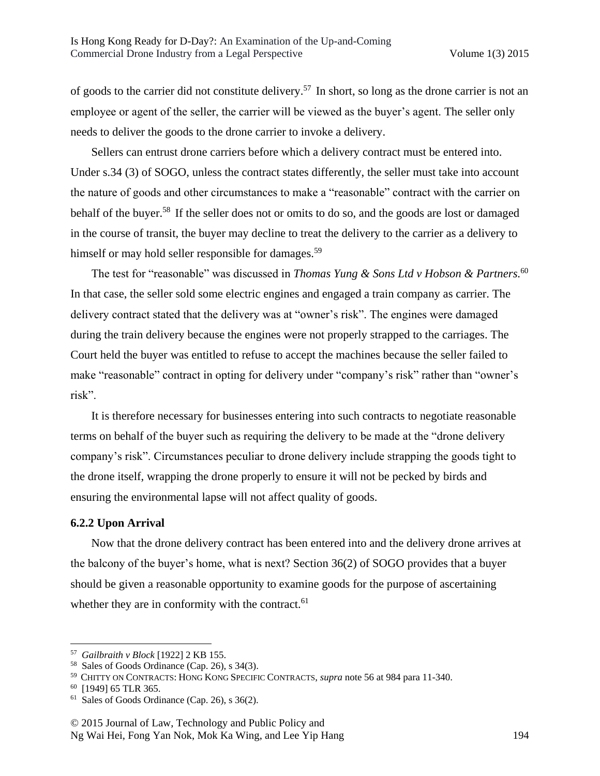of goods to the carrier did not constitute delivery.<sup>57</sup> In short, so long as the drone carrier is not an employee or agent of the seller, the carrier will be viewed as the buyer's agent. The seller only needs to deliver the goods to the drone carrier to invoke a delivery.

Sellers can entrust drone carriers before which a delivery contract must be entered into. Under s.34 (3) of SOGO, unless the contract states differently, the seller must take into account the nature of goods and other circumstances to make a "reasonable" contract with the carrier on behalf of the buyer.<sup>58</sup> If the seller does not or omits to do so, and the goods are lost or damaged in the course of transit, the buyer may decline to treat the delivery to the carrier as a delivery to himself or may hold seller responsible for damages.<sup>59</sup>

The test for "reasonable" was discussed in *Thomas Yung & Sons Ltd v Hobson & Partners.* 60 In that case, the seller sold some electric engines and engaged a train company as carrier. The delivery contract stated that the delivery was at "owner's risk". The engines were damaged during the train delivery because the engines were not properly strapped to the carriages. The Court held the buyer was entitled to refuse to accept the machines because the seller failed to make "reasonable" contract in opting for delivery under "company's risk" rather than "owner's risk".

It is therefore necessary for businesses entering into such contracts to negotiate reasonable terms on behalf of the buyer such as requiring the delivery to be made at the "drone delivery company's risk". Circumstances peculiar to drone delivery include strapping the goods tight to the drone itself, wrapping the drone properly to ensure it will not be pecked by birds and ensuring the environmental lapse will not affect quality of goods.

### **6.2.2 Upon Arrival**

Now that the drone delivery contract has been entered into and the delivery drone arrives at the balcony of the buyer's home, what is next? Section 36(2) of SOGO provides that a buyer should be given a reasonable opportunity to examine goods for the purpose of ascertaining whether they are in conformity with the contract. $61$ 

<sup>57</sup> *Gailbraith v Block* [1922] 2 KB 155.

<sup>58</sup> Sales of Goods Ordinance (Cap. 26), s 34(3).

<sup>59</sup> CHITTY ON CONTRACTS: HONG KONG SPECIFIC CONTRACTS, *supra* note 56 at 984 para 11-340.

<sup>60</sup> [1949] 65 TLR 365.

 $61$  Sales of Goods Ordinance (Cap. 26), s 36(2).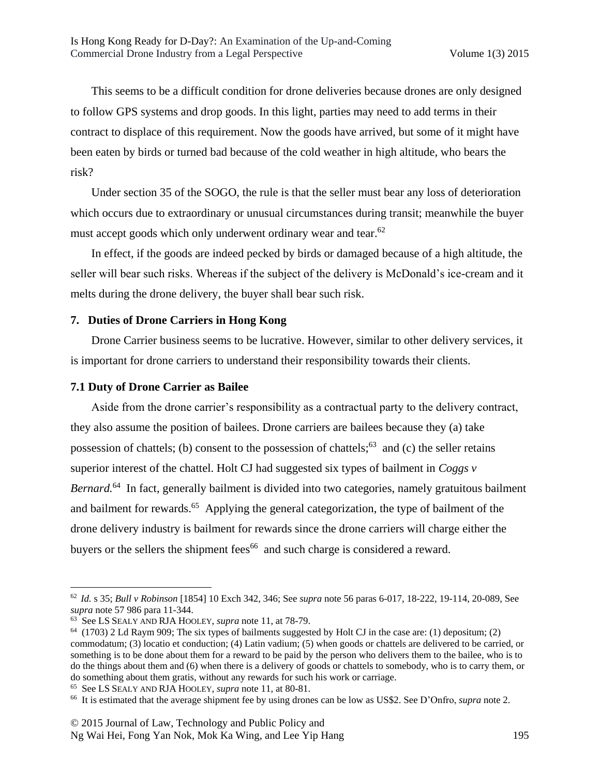This seems to be a difficult condition for drone deliveries because drones are only designed to follow GPS systems and drop goods. In this light, parties may need to add terms in their contract to displace of this requirement. Now the goods have arrived, but some of it might have been eaten by birds or turned bad because of the cold weather in high altitude, who bears the risk?

Under section 35 of the SOGO, the rule is that the seller must bear any loss of deterioration which occurs due to extraordinary or unusual circumstances during transit; meanwhile the buyer must accept goods which only underwent ordinary wear and tear.<sup>62</sup>

In effect, if the goods are indeed pecked by birds or damaged because of a high altitude, the seller will bear such risks. Whereas if the subject of the delivery is McDonald's ice-cream and it melts during the drone delivery, the buyer shall bear such risk.

### **7. Duties of Drone Carriers in Hong Kong**

Drone Carrier business seems to be lucrative. However, similar to other delivery services, it is important for drone carriers to understand their responsibility towards their clients.

#### **7.1 Duty of Drone Carrier as Bailee**

Aside from the drone carrier's responsibility as a contractual party to the delivery contract, they also assume the position of bailees. Drone carriers are bailees because they (a) take possession of chattels; (b) consent to the possession of chattels;<sup>63</sup> and (c) the seller retains superior interest of the chattel. Holt CJ had suggested six types of bailment in *Coggs v Bernard.* <sup>64</sup> In fact, generally bailment is divided into two categories, namely gratuitous bailment and bailment for rewards.<sup>65</sup> Applying the general categorization, the type of bailment of the drone delivery industry is bailment for rewards since the drone carriers will charge either the buyers or the sellers the shipment fees<sup>66</sup> and such charge is considered a reward.

 $\overline{\phantom{a}}$ 

<sup>65</sup> See LS SEALY AND RJA HOOLEY, *supra* note 11, at 80-81.

# Ng Wai Hei, Fong Yan Nok, Mok Ka Wing, and Lee Yip Hang 195

<sup>62</sup> *Id.* s 35; *Bull v Robinson* [1854] 10 Exch 342, 346; See *supra* note 56 paras 6-017, 18-222, 19-114, 20-089, See *supra* note 57 986 para 11-344.

<sup>63</sup> See LS SEALY AND RJA HOOLEY, *supra* note 11, at 78-79.

 $64$  (1703) 2 Ld Raym 909; The six types of bailments suggested by Holt CJ in the case are: (1) depositum; (2) commodatum; (3) locatio et conduction; (4) Latin vadium; (5) when goods or chattels are delivered to be carried, or something is to be done about them for a reward to be paid by the person who delivers them to the bailee, who is to do the things about them and (6) when there is a delivery of goods or chattels to somebody, who is to carry them, or do something about them gratis, without any rewards for such his work or carriage.

<sup>66</sup> It is estimated that the average shipment fee by using drones can be low as US\$2. See D'Onfro, *supra* note 2.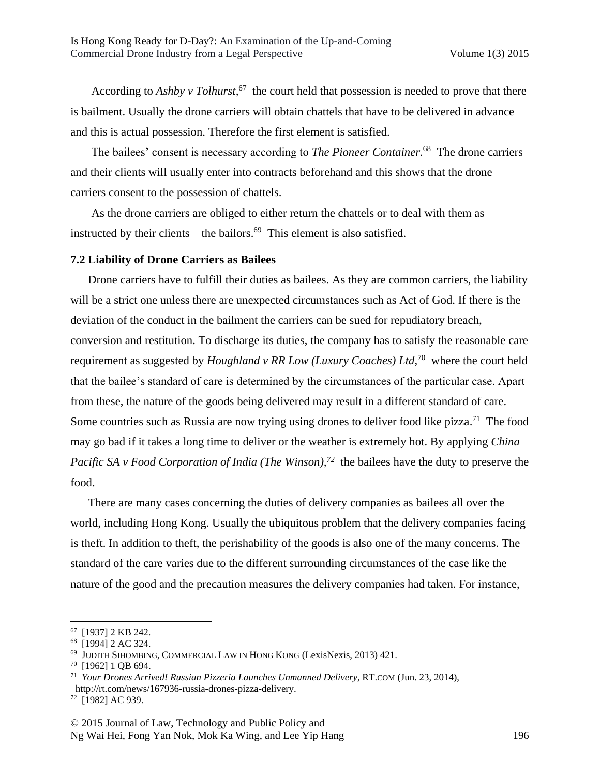According to *Ashby v Tolhurst,* <sup>67</sup> the court held that possession is needed to prove that there is bailment. Usually the drone carriers will obtain chattels that have to be delivered in advance and this is actual possession. Therefore the first element is satisfied.

The bailees' consent is necessary according to *The Pioneer Container.* <sup>68</sup> The drone carriers and their clients will usually enter into contracts beforehand and this shows that the drone carriers consent to the possession of chattels.

As the drone carriers are obliged to either return the chattels or to deal with them as instructed by their clients – the bailors. $^{69}$  This element is also satisfied.

#### **7.2 Liability of Drone Carriers as Bailees**

Drone carriers have to fulfill their duties as bailees. As they are common carriers, the liability will be a strict one unless there are unexpected circumstances such as Act of God. If there is the deviation of the conduct in the bailment the carriers can be sued for repudiatory breach, conversion and restitution. To discharge its duties, the company has to satisfy the reasonable care requirement as suggested by *Houghland v RR Low (Luxury Coaches) Ltd,* <sup>70</sup> where the court held that the bailee's standard of care is determined by the circumstances of the particular case. Apart from these, the nature of the goods being delivered may result in a different standard of care. Some countries such as Russia are now trying using drones to deliver food like pizza.<sup>71</sup> The food may go bad if it takes a long time to deliver or the weather is extremely hot. By applying *China Pacific SA v Food Corporation of India (The Winson)*<sup>72</sup> the bailees have the duty to preserve the food.

There are many cases concerning the duties of delivery companies as bailees all over the world, including Hong Kong. Usually the ubiquitous problem that the delivery companies facing is theft. In addition to theft, the perishability of the goods is also one of the many concerns. The standard of the care varies due to the different surrounding circumstances of the case like the nature of the good and the precaution measures the delivery companies had taken. For instance,

 $\overline{\phantom{a}}$ 

Ng Wai Hei, Fong Yan Nok, Mok Ka Wing, and Lee Yip Hang 196

<sup>67</sup> [1937] 2 KB 242.

<sup>68</sup> [1994] 2 AC 324.

<sup>69</sup> JUDITH SIHOMBING, COMMERCIAL LAW IN HONG KONG (LexisNexis, 2013) 421.

<sup>70</sup> [1962] 1 QB 694.

<sup>71</sup> *Your Drones Arrived! Russian Pizzeria Launches Unmanned Delivery*, RT.COM (Jun. 23, 2014), http://rt.com/news/167936-russia-drones-pizza-delivery.

<sup>72</sup> [1982] AC 939.

<sup>© 2015</sup> Journal of Law, Technology and Public Policy and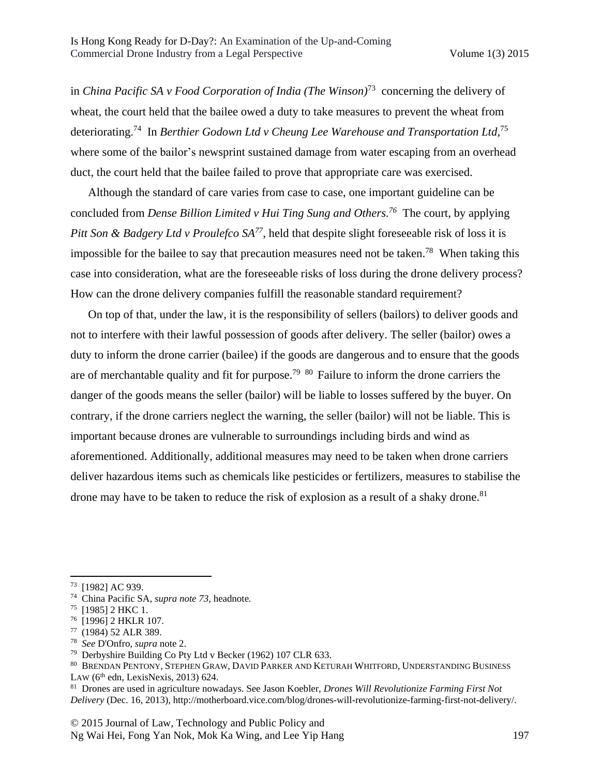in *China Pacific SA v Food Corporation of India (The Winson)*<sup>73</sup> concerning the delivery of wheat, the court held that the bailee owed a duty to take measures to prevent the wheat from deteriorating.<sup>74</sup> In *Berthier Godown Ltd v Cheung Lee Warehouse and Transportation Ltd,* 75 where some of the bailor's newsprint sustained damage from water escaping from an overhead duct, the court held that the bailee failed to prove that appropriate care was exercised.

Although the standard of care varies from case to case, one important guideline can be concluded from *Dense Billion Limited v Hui Ting Sung and Others. <sup>76</sup>* The court, by applying *Pitt Son & Badgery Ltd v Proulefco SA<sup>77</sup>*, held that despite slight foreseeable risk of loss it is impossible for the bailee to say that precaution measures need not be taken.<sup>78</sup> When taking this case into consideration, what are the foreseeable risks of loss during the drone delivery process? How can the drone delivery companies fulfill the reasonable standard requirement?

On top of that, under the law, it is the responsibility of sellers (bailors) to deliver goods and not to interfere with their lawful possession of goods after delivery. The seller (bailor) owes a duty to inform the drone carrier (bailee) if the goods are dangerous and to ensure that the goods are of merchantable quality and fit for purpose.<sup>79 80</sup> Failure to inform the drone carriers the danger of the goods means the seller (bailor) will be liable to losses suffered by the buyer. On contrary, if the drone carriers neglect the warning, the seller (bailor) will not be liable. This is important because drones are vulnerable to surroundings including birds and wind as aforementioned. Additionally, additional measures may need to be taken when drone carriers deliver hazardous items such as chemicals like pesticides or fertilizers, measures to stabilise the drone may have to be taken to reduce the risk of explosion as a result of a shaky drone.<sup>81</sup>

 $\overline{\phantom{a}}$ 

<sup>78</sup> *See* D'Onfro, *supra* note 2.

<sup>73</sup> [1982] AC 939.

<sup>74</sup> China Pacific SA*, supra note 73,* headnote*.*

 $75$  [1985] 2 HKC 1.

<sup>76</sup> [1996] 2 HKLR 107.

<sup>77</sup> (1984) 52 ALR 389.

<sup>79</sup> Derbyshire Building Co Pty Ltd v Becker (1962) 107 CLR 633.

<sup>80</sup> BRENDAN PENTONY, STEPHEN GRAW, DAVID PARKER AND KETURAH WHITFORD, UNDERSTANDING BUSINESS LAW  $(6<sup>th</sup>$  edn, LexisNexis, 2013) 624.

<sup>81</sup> Drones are used in agriculture nowadays. See Jason Koebler, *Drones Will Revolutionize Farming First Not Delivery* (Dec. 16, 2013), http://motherboard.vice.com/blog/drones-will-revolutionize-farming-first-not-delivery/.

<sup>© 2015</sup> Journal of Law, Technology and Public Policy and Ng Wai Hei, Fong Yan Nok, Mok Ka Wing, and Lee Yip Hang 197